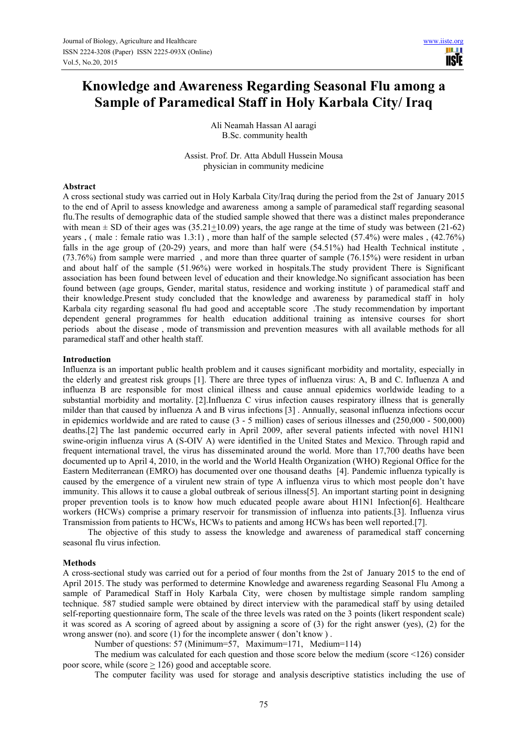# **Knowledge and Awareness Regarding Seasonal Flu among a Sample of Paramedical Staff in Holy Karbala City/ Iraq**

Ali Neamah Hassan Al aaragi B.Sc. community health

Assist. Prof. Dr. Atta Abdull Hussein Mousa physician in community medicine

### **Abstract**

A cross sectional study was carried out in Holy Karbala City/Iraq during the period from the 2st of January 2015 to the end of April to assess knowledge and awareness among a sample of paramedical staff regarding seasonal flu.The results of demographic data of the studied sample showed that there was a distinct males preponderance with mean  $\pm$  SD of their ages was (35.21 $\pm$ 10.09) years, the age range at the time of study was between (21-62) years , ( male : female ratio was 1.3:1) , more than half of the sample selected (57.4%) were males , (42.76%) falls in the age group of (20-29) years, and more than half were (54.51%) had Health Technical institute , (73.76%) from sample were married , and more than three quarter of sample (76.15%) were resident in urban and about half of the sample (51.96%) were worked in hospitals.The study provident There is Significant association has been found between level of education and their knowledge.No significant association has been found between (age groups, Gender, marital status, residence and working institute ) of paramedical staff and their knowledge.Present study concluded that the knowledge and awareness by paramedical staff in holy Karbala city regarding seasonal flu had good and acceptable score .The study recommendation by important dependent general programmes for health education additional training as intensive courses for short periods about the disease , mode of transmission and prevention measures with all available methods for all paramedical staff and other health staff.

### **Introduction**

Influenza is an important public health problem and it causes significant morbidity and mortality, especially in the elderly and greatest risk groups [1]. There are three types of influenza virus: A, B and C. Influenza A and influenza B are responsible for most clinical illness and cause annual epidemics worldwide leading to a substantial morbidity and mortality. [2].Influenza C virus infection causes respiratory illness that is generally milder than that caused by influenza A and B virus infections [3] . Annually, seasonal influenza infections occur in epidemics worldwide and are rated to cause (3 - 5 million) cases of serious illnesses and (250,000 - 500,000) deaths.[2] The last pandemic occurred early in April 2009, after several patients infected with novel H1N1 swine-origin influenza virus A (S-OIV A) were identified in the United States and Mexico. Through rapid and frequent international travel, the virus has disseminated around the world. More than 17,700 deaths have been documented up to April 4, 2010, in the world and the World Health Organization (WHO) Regional Office for the Eastern Mediterranean (EMRO) has documented over one thousand deaths [4]. Pandemic influenza typically is caused by the emergence of a virulent new strain of type A influenza virus to which most people don't have immunity. This allows it to cause a global outbreak of serious illness[5]. An important starting point in designing proper prevention tools is to know how much educated people aware about H1N1 Infection[6]. Healthcare workers (HCWs) comprise a primary reservoir for transmission of influenza into patients.[3]. Influenza virus Transmission from patients to HCWs, HCWs to patients and among HCWs has been well reported.[7].

The objective of this study to assess the knowledge and awareness of paramedical staff concerning seasonal flu virus infection.

#### **Methods**

A cross-sectional studywas carried out for a period of four months from the 2st of January 2015 to the end of April 2015. The study was performed to determine Knowledge and awareness regarding Seasonal Flu Among a sample of Paramedical Staff in Holy Karbala City, were chosen by multistage simple random sampling technique. 587 studied sample were obtained by direct interview with the paramedical staff by using detailed self-reporting questionnaire form, The scale of the three levels was rated on the 3 points (likert respondent scale) it was scored as A scoring of agreed about by assigning a score of (3) for the right answer (yes), (2) for the wrong answer (no). and score (1) for the incomplete answer (don't know).

Number of questions: 57 (Minimum=57, Maximum=171, Medium=114)

The medium was calculated for each question and those score below the medium (score <126) consider poor score, while (score > 126) good and acceptable score.

The computer facility was used for storage and analysis descriptive statistics including the use of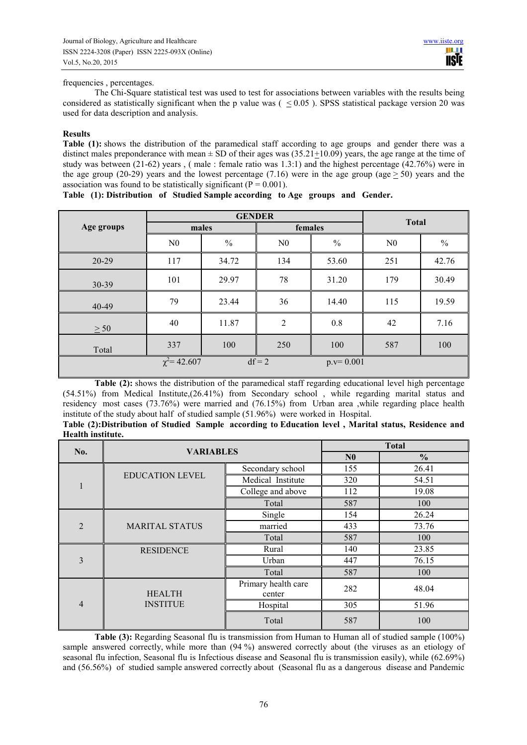### frequencies , percentages.

The Chi-Square statistical test was used to test for associations between variables with the results being considered as statistically significant when the p value was  $(  $0.05$ ). SPSS statistical package version 20 was$ used for data description and analysis.

### **Results**

**Table (1):** shows the distribution of the paramedical staff according to age groups and gender there was a distinct males preponderance with mean  $\pm$  SD of their ages was (35.21+10.09) years, the age range at the time of study was between (21-62) years , ( male : female ratio was 1.3:1) and the highest percentage (42.76%) were in the age group (20-29) years and the lowest percentage (7.16) were in the age group (age  $> 50$ ) years and the association was found to be statistically significant ( $P = 0.001$ ).

|            |                   | <b>GENDER</b> | <b>Total</b>   |               |                |               |
|------------|-------------------|---------------|----------------|---------------|----------------|---------------|
| Age groups | males             |               |                |               | females        |               |
|            | N <sub>0</sub>    | $\frac{0}{0}$ | N <sub>0</sub> | $\frac{0}{0}$ | N <sub>0</sub> | $\frac{0}{0}$ |
| 20-29      | 117               | 34.72         | 134            | 53.60         | 251            | 42.76         |
| 30-39      | 101               | 29.97         | 78             | 31.20         | 179            | 30.49         |
| 40-49      | 79                | 23.44         | 36             | 14.40         | 115            | 19.59         |
| > 50       | 40                | 11.87         | $\overline{2}$ | 0.8           | 42             | 7.16          |
| Total      | 337               | 100           | 250            | 100           | 587            | 100           |
|            | $\chi^2$ = 42.607 |               | $df = 2$       | $p.v=0.001$   |                |               |

# **Table (1): Distribution of Studied Sample according to Age groups and Gender.**

**Table (2):** shows the distribution of the paramedical staff regarding educational level high percentage (54.51%) from Medical Institute,(26.41%) from Secondary school , while regarding marital status and residency most cases (73.76%) were married and (76.15%) from Urban area ,while regarding place health institute of the study about half of studied sample (51.96%) were worked in Hospital.

| Table (2): Distribution of Studied Sample according to Education level, Marital status, Residence and |  |  |  |  |
|-------------------------------------------------------------------------------------------------------|--|--|--|--|
| Health institute.                                                                                     |  |  |  |  |

| No.            | <b>VARIABLES</b>       |                     | <b>Total</b>   |               |
|----------------|------------------------|---------------------|----------------|---------------|
|                |                        |                     | N <sub>0</sub> | $\frac{0}{0}$ |
|                |                        | Secondary school    | 155            | 26.41         |
| 1              | <b>EDUCATION LEVEL</b> | Medical Institute   | 320            | 54.51         |
|                |                        | College and above   | 112            | 19.08         |
|                |                        | Total               | 587            | 100           |
|                |                        | Single              | 154            | 26.24         |
| $\overline{2}$ | <b>MARITAL STATUS</b>  | married             | 433            | 73.76         |
|                |                        | Total               | 587            | 100           |
|                | <b>RESIDENCE</b>       | Rural               | 140            | 23.85         |
| 3              |                        | Urban               | 447            | 76.15         |
|                |                        | Total               | 587            | 100           |
|                |                        | Primary health care | 282            | 48.04         |
| $\overline{4}$ | <b>HEALTH</b>          | center              |                |               |
|                | <b>INSTITUE</b>        | Hospital            | 305            | 51.96         |
|                |                        | Total               | 587            | 100           |

**Table (3):** Regarding Seasonal flu is transmission from Human to Human all of studied sample (100%) sample answered correctly, while more than  $(94\%)$  answered correctly about (the viruses as an etiology of seasonal flu infection, Seasonal flu is Infectious disease and Seasonal flu is transmission easily), while (62.69%) and (56.56%) of studied sample answered correctly about (Seasonal flu as a dangerous disease and Pandemic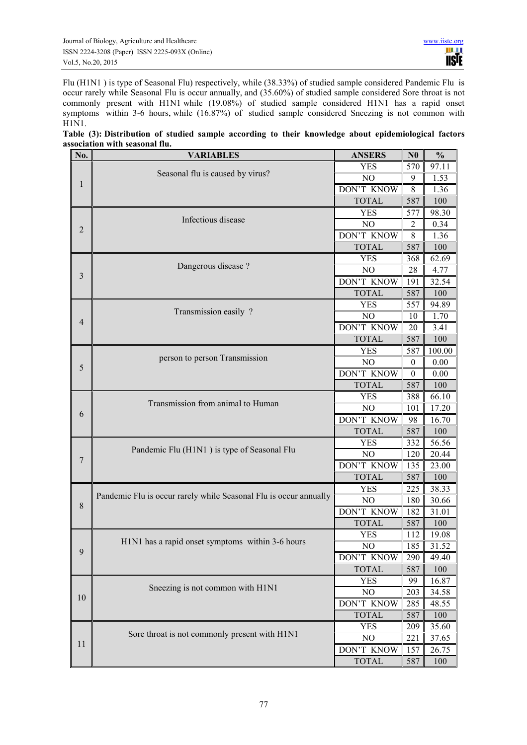Flu (H1N1 ) is type of Seasonal Flu) respectively, while (38.33%) of studied sample considered Pandemic Flu is occur rarely while Seasonal Flu is occur annually, and (35.60%) of studied sample considered Sore throat is not commonly present with H1N1 while (19.08%) of studied sample considered H1N1 has a rapid onset symptoms within 3-6 hours, while (16.87%) of studied sample considered Sneezing is not common with  $H1N1.$ 

| Table (3): Distribution of studied sample according to their knowledge about epidemiological factors |  |  |  |  |  |  |  |  |  |
|------------------------------------------------------------------------------------------------------|--|--|--|--|--|--|--|--|--|
| association with seasonal flu.                                                                       |  |  |  |  |  |  |  |  |  |

| No.            | <b>VARIABLES</b>                                                  | <b>ANSERS</b>     | N <sub>0</sub>   | $\frac{0}{0}$      |
|----------------|-------------------------------------------------------------------|-------------------|------------------|--------------------|
|                |                                                                   | <b>YES</b>        | 570              | 97.11              |
| 1              | Seasonal flu is caused by virus?                                  | NO                | 9                | 1.53               |
|                |                                                                   | <b>DON'T KNOW</b> | 8                | 1.36               |
|                |                                                                   | <b>TOTAL</b>      | 587              | 100                |
|                |                                                                   | <b>YES</b>        | 577              | 98.30              |
|                | Infectious disease                                                | N <sub>O</sub>    | 2                | 0.34               |
| $\overline{2}$ |                                                                   | <b>DON'T KNOW</b> | 8                | 1.36               |
|                |                                                                   | <b>TOTAL</b>      | 587              | 100                |
|                |                                                                   | <b>YES</b>        | 368              | 62.69              |
|                | Dangerous disease ?                                               | N <sub>O</sub>    | 28               | 4.77               |
| 3              |                                                                   | DON'T KNOW        | 191              | 32.54              |
|                |                                                                   | <b>TOTAL</b>      | 587              | 100                |
|                |                                                                   | <b>YES</b>        | 557              | 94.89              |
|                | Transmission easily?                                              | NO                | 10               | 1.70               |
| $\overline{4}$ |                                                                   | DON'T KNOW        | 20               | 3.41               |
|                |                                                                   | <b>TOTAL</b>      | 587              | 100                |
|                |                                                                   | <b>YES</b>        | 587              | 100.00             |
|                | person to person Transmission                                     | N <sub>O</sub>    | $\boldsymbol{0}$ | 0.00               |
| 5              |                                                                   | <b>DON'T KNOW</b> | $\boldsymbol{0}$ | 0.00               |
|                |                                                                   | <b>TOTAL</b>      | 587              | 100                |
|                |                                                                   | YES               | 388              | 66.10              |
|                | Transmission from animal to Human                                 | N <sub>O</sub>    | 101              | 17.20              |
| 6              |                                                                   | DON'T KNOW        | 98               | 16.70              |
|                |                                                                   | <b>TOTAL</b>      | 587              | 100                |
|                |                                                                   | <b>YES</b>        | 332              | $\overline{56.56}$ |
| $\overline{7}$ | Pandemic Flu (H1N1) is type of Seasonal Flu                       | NO                | 120              | 20.44              |
|                |                                                                   | DON'T KNOW        | 135              | 23.00              |
|                |                                                                   | <b>TOTAL</b>      | 587              | 100                |
|                |                                                                   | <b>YES</b>        | 225              | 38.33              |
| $\,$ $\,$      | Pandemic Flu is occur rarely while Seasonal Flu is occur annually | N <sub>O</sub>    | 180              | 30.66              |
|                |                                                                   | DON'T KNOW        | 182              | 31.01              |
|                |                                                                   | <b>TOTAL</b>      | 587              | 100                |
|                |                                                                   | <b>YES</b>        | 112              | 19.08              |
| 9              | H1N1 has a rapid onset symptoms within 3-6 hours                  | N <sub>O</sub>    | $\sqrt{185}$     | 31.52              |
|                |                                                                   | DON'T KNOW        | 290              | 49.40              |
|                |                                                                   | <b>TOTAL</b>      | 587              | 100                |
|                |                                                                   | <b>YES</b>        | 99               | 16.87              |
| 10             | Sneezing is not common with H1N1                                  | N <sub>O</sub>    | 203              | 34.58              |
|                |                                                                   | DON'T KNOW        | 285              | 48.55              |
|                |                                                                   | <b>TOTAL</b>      | 587              | 100                |
|                |                                                                   | <b>YES</b>        | 209              | 35.60              |
| 11             | Sore throat is not commonly present with H1N1                     | N <sub>O</sub>    | 221              | 37.65              |
|                |                                                                   | DON'T KNOW        | 157              | 26.75              |
|                |                                                                   | <b>TOTAL</b>      | 587              | 100                |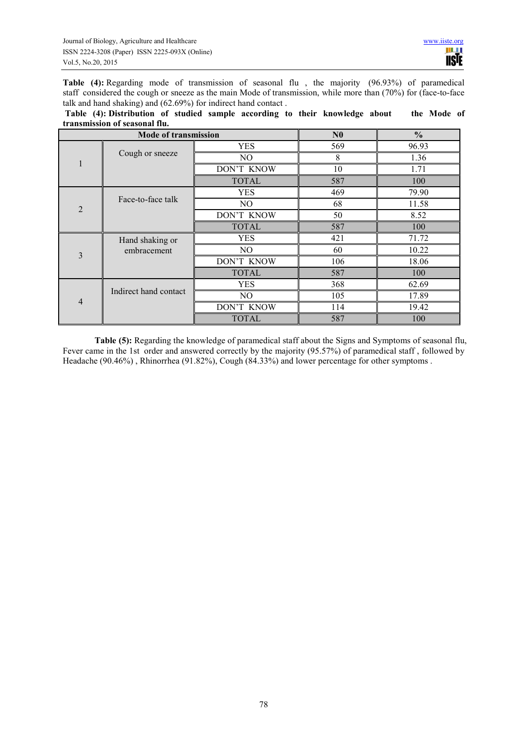**Table (4):** Regarding mode of transmission of seasonal flu , the majority (96.93%) of paramedical staff considered the cough or sneeze as the main Mode of transmission, while more than (70%) for (face-to-face talk and hand shaking) and (62.69%) for indirect hand contact .

 **Table (4): Distribution of studied sample according to their knowledge about the Mode of transmission of seasonal flu.**

|                | <b>Mode of transmission</b> |                | N <sub>0</sub> | $\frac{0}{0}$ |
|----------------|-----------------------------|----------------|----------------|---------------|
|                |                             | <b>YES</b>     | 569            | 96.93         |
| 1              | Cough or sneeze             | NO             | 8              | 1.36          |
|                |                             | DON'T KNOW     | 10             | 1.71          |
|                |                             | <b>TOTAL</b>   | 587            | 100           |
|                |                             | <b>YES</b>     | 469            | 79.90         |
| $\overline{2}$ | Face-to-face talk           | NO.            | 68             | 11.58         |
|                |                             | DON'T KNOW     | 50             | 8.52          |
|                |                             | <b>TOTAL</b>   | 587            | 100           |
|                | Hand shaking or             | <b>YES</b>     | 421            | 71.72         |
| 3              | embracement                 | NO             | 60             | 10.22         |
|                |                             | DON'T KNOW     | 106            | 18.06         |
|                |                             | <b>TOTAL</b>   | 587            | 100           |
|                |                             | <b>YES</b>     | 368            | 62.69         |
| $\overline{4}$ | Indirect hand contact       | N <sub>O</sub> | 105            | 17.89         |
|                |                             | DON'T KNOW     | 114            | 19.42         |
|                |                             | <b>TOTAL</b>   | 587            | 100           |

**Table (5):** Regarding the knowledge of paramedical staff about the Signs and Symptoms of seasonal flu, Fever came in the 1st order and answered correctly by the majority (95.57%) of paramedical staff, followed by Headache (90.46%) , Rhinorrhea (91.82%), Cough (84.33%) and lower percentage for other symptoms .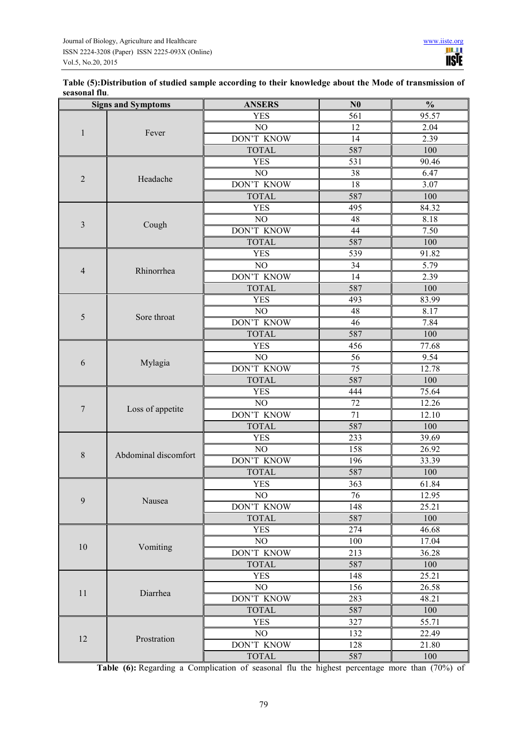| Table (5): Distribution of studied sample according to their knowledge about the Mode of transmission of |  |
|----------------------------------------------------------------------------------------------------------|--|
| seasonal flu.                                                                                            |  |

| <b>Signs and Symptoms</b> |                      | <b>ANSERS</b>     | N <sub>0</sub>  | $\frac{0}{0}$ |
|---------------------------|----------------------|-------------------|-----------------|---------------|
|                           |                      | <b>YES</b>        | 561             | 95.57         |
|                           |                      | NO                | 12              | 2.04          |
| $\mathbf{1}$              | Fever                | <b>DON'T KNOW</b> | 14              | 2.39          |
|                           |                      | <b>TOTAL</b>      | 587             | 100           |
|                           |                      | <b>YES</b>        | 531             | 90.46         |
| $\sqrt{2}$                | Headache             | NO                | 38              | 6.47          |
|                           |                      | DON'T KNOW        | 18              | 3.07          |
|                           |                      | <b>TOTAL</b>      | 587             | 100           |
|                           |                      | <b>YES</b>        | 495             | 84.32         |
| $\mathfrak{Z}$            | Cough                | NO                | 48              | 8.18          |
|                           |                      | DON'T KNOW        | 44              | 7.50          |
|                           |                      | <b>TOTAL</b>      | 587             | 100           |
|                           |                      | <b>YES</b>        | 539             | 91.82         |
| 4                         | Rhinorrhea           | NO                | 34              | 5.79          |
|                           |                      | <b>DON'T KNOW</b> | $\overline{14}$ | 2.39          |
|                           |                      | <b>TOTAL</b>      | 587             | 100           |
|                           |                      | <b>YES</b>        | 493             | 83.99         |
| 5                         | Sore throat          | NO                | 48              | 8.17          |
|                           |                      | DON'T KNOW        | 46              | 7.84          |
|                           |                      | <b>TOTAL</b>      | 587             | 100           |
|                           | Mylagia              | <b>YES</b>        | 456             | 77.68         |
| 6                         |                      | NO                | 56              | 9.54          |
|                           |                      | DON'T KNOW        | 75              | 12.78         |
|                           |                      | <b>TOTAL</b>      | 587             | 100           |
|                           | Loss of appetite     | <b>YES</b>        | 444             | 75.64         |
| 7                         |                      | NO                | 72              | 12.26         |
|                           |                      | DON'T KNOW        | 71              | 12.10         |
|                           |                      | <b>TOTAL</b>      | 587             | 100           |
|                           |                      | <b>YES</b>        | 233             | 39.69         |
| $\,8\,$                   | Abdominal discomfort | NO                | 158             | 26.92         |
|                           |                      | <b>DON'T KNOW</b> | 196             | 33.39         |
|                           |                      | <b>TOTAL</b>      | 587             | 100           |
|                           |                      | <b>YES</b>        | 363             | 61.84         |
| 9                         | Nausea               | $\overline{NO}$   | 76              | 12.95         |
|                           |                      | DON'T KNOW        | 148             | 25.21         |
|                           |                      | <b>TOTAL</b>      | 587             | 100           |
|                           |                      | <b>YES</b>        | 274             | 46.68         |
| 10                        | Vomiting             | NO                | 100             | 17.04         |
|                           |                      | DON'T KNOW        | 213             | 36.28         |
|                           |                      | <b>TOTAL</b>      | 587             | 100           |
|                           |                      | <b>YES</b>        | 148             | 25.21         |
| 11                        | Diarrhea             | N <sub>O</sub>    | 156             | 26.58         |
|                           |                      | <b>DON'T KNOW</b> | 283             | 48.21         |
|                           |                      | <b>TOTAL</b>      | 587             | 100           |
|                           |                      | <b>YES</b>        | 327             | 55.71         |
| 12                        | Prostration          | NO                | 132             | 22.49         |
|                           |                      | DON'T KNOW        | 128             | 21.80         |
|                           |                      | <b>TOTAL</b>      | 587             | 100           |

Table (6): Regarding a Complication of seasonal flu the highest percentage more than (70%) of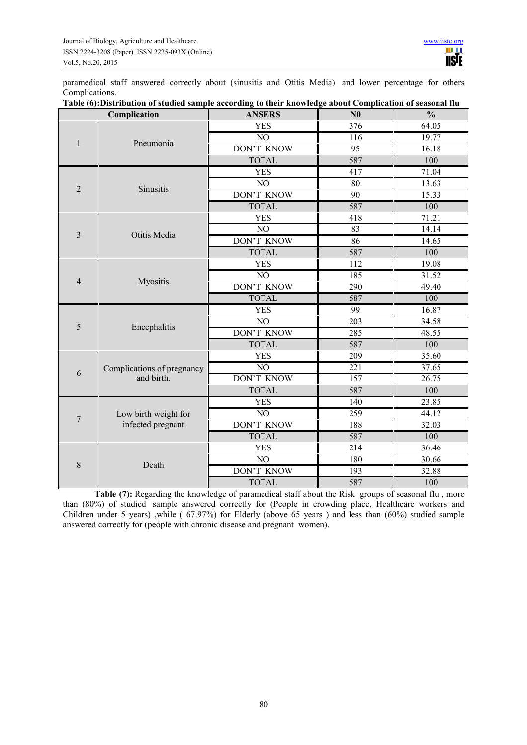paramedical staff answered correctly about (sinusitis and Otitis Media) and lower percentage for others Complications.

| Complication   |                                          | <b>ANSERS</b>     | N <sub>0</sub> | $\frac{0}{0}$ |
|----------------|------------------------------------------|-------------------|----------------|---------------|
|                |                                          | <b>YES</b>        | 376            | 64.05         |
|                |                                          | NO                | 116            | 19.77         |
| 1              | Pneumonia                                | <b>DON'T KNOW</b> | 95             | 16.18         |
|                |                                          | <b>TOTAL</b>      | 587            | 100           |
|                |                                          | <b>YES</b>        | 417            | 71.04         |
| $\overline{2}$ | Sinusitis                                | N <sub>O</sub>    | 80             | 13.63         |
|                |                                          | DON'T KNOW        | 90             | 15.33         |
|                |                                          | <b>TOTAL</b>      | 587            | 100           |
|                |                                          | <b>YES</b>        | 418            | 71.21         |
| 3              | Otitis Media                             | NO                | 83             | 14.14         |
|                |                                          | <b>DON'T KNOW</b> | 86             | 14.65         |
|                |                                          | <b>TOTAL</b>      | 587            | 100           |
|                |                                          | <b>YES</b>        | 112            | 19.08         |
| $\overline{4}$ | Myositis                                 | NO                | 185            | 31.52         |
|                |                                          | <b>DON'T KNOW</b> | 290            | 49.40         |
|                |                                          | <b>TOTAL</b>      | 587            | 100           |
|                |                                          | YES               | 99             | 16.87         |
| 5              | Encephalitis                             | NO                | 203            | 34.58         |
|                |                                          | DON'T KNOW        | 285            | 48.55         |
|                |                                          | <b>TOTAL</b>      | 587            | 100           |
|                |                                          | <b>YES</b>        | 209            | 35.60         |
| 6              | Complications of pregnancy<br>and birth. | NO                | 221            | 37.65         |
|                |                                          | <b>DON'T KNOW</b> | 157            | 26.75         |
|                |                                          | <b>TOTAL</b>      | 587            | 100           |
|                |                                          | <b>YES</b>        | 140            | 23.85         |
| 7              | Low birth weight for                     | NO                | 259            | 44.12         |
|                | infected pregnant                        | DON'T KNOW        | 188            | 32.03         |
|                |                                          | <b>TOTAL</b>      | 587            | 100           |
|                |                                          | <b>YES</b>        | 214            | 36.46         |
| 8              | Death                                    | NO                | 180            | 30.66         |
|                |                                          | <b>DON'T KNOW</b> | 193            | 32.88         |
|                |                                          | <b>TOTAL</b>      | 587            | 100           |

| Table (6): Distribution of studied sample according to their knowledge about Complication of seasonal flu |  |  |
|-----------------------------------------------------------------------------------------------------------|--|--|
|                                                                                                           |  |  |
|                                                                                                           |  |  |

Table (7): Regarding the knowledge of paramedical staff about the Risk groups of seasonal flu, more than (80%) of studied sample answered correctly for (People in crowding place, Healthcare workers and Children under 5 years) ,while ( 67.97%) for Elderly (above 65 years ) and less than (60%) studied sample answered correctly for (people with chronic disease and pregnant women).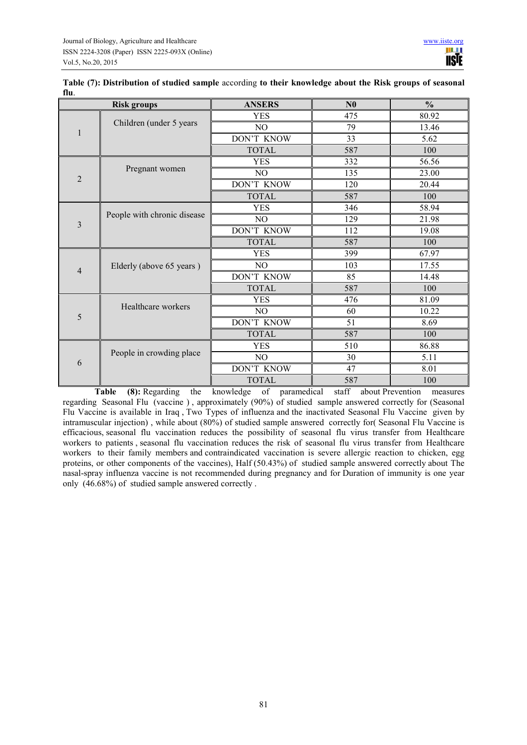| <b>Risk groups</b> |                             | <b>ANSERS</b>  | N <sub>0</sub> | $\frac{0}{0}$ |
|--------------------|-----------------------------|----------------|----------------|---------------|
|                    |                             | <b>YES</b>     | 475            | 80.92         |
| $\mathbf{1}$       | Children (under 5 years     | N <sub>O</sub> | 79             | 13.46         |
|                    |                             | DON'T KNOW     | 33             | 5.62          |
|                    |                             | <b>TOTAL</b>   | 587            | 100           |
|                    |                             | <b>YES</b>     | 332            | 56.56         |
| $\overline{2}$     | Pregnant women              | NO             | 135            | 23.00         |
|                    |                             | DON'T KNOW     | 120            | 20.44         |
|                    |                             | <b>TOTAL</b>   | 587            | 100           |
|                    |                             | <b>YES</b>     | 346            | 58.94         |
| 3                  | People with chronic disease | NO             | 129            | 21.98         |
|                    |                             | DON'T KNOW     | 112            | 19.08         |
|                    |                             | <b>TOTAL</b>   | 587            | 100           |
|                    |                             | <b>YES</b>     | 399            | 67.97         |
| $\overline{4}$     | Elderly (above 65 years)    | NO.            | 103            | 17.55         |
|                    |                             | DON'T KNOW     | 85             | 14.48         |
|                    |                             | <b>TOTAL</b>   | 587            | 100           |
|                    |                             | <b>YES</b>     | 476            | 81.09         |
| 5                  | Healthcare workers          | NO.            | 60             | 10.22         |
|                    |                             | DON'T KNOW     | 51             | 8.69          |
|                    |                             | <b>TOTAL</b>   | 587            | 100           |
|                    |                             | <b>YES</b>     | 510            | 86.88         |
| 6                  | People in crowding place    | NO             | 30             | 5.11          |
|                    |                             | DON'T KNOW     | 47             | 8.01          |
|                    |                             | <b>TOTAL</b>   | 587            | 100           |

**Table (7): Distribution of studied sample** according **to their knowledge about the Risk groups of seasonal flu**.

**Table (8):** Regarding the knowledge of paramedical staff about Prevention measures regarding Seasonal Flu (vaccine ) , approximately (90%) of studied sample answered correctly for (Seasonal Flu Vaccine is available in Iraq , Two Types of influenza and the inactivated Seasonal Flu Vaccine given by intramuscular injection) , while about (80%) of studied sample answered correctly for( Seasonal Flu Vaccine is efficacious, seasonal flu vaccination reduces the possibility of seasonal flu virus transfer from Healthcare workers to patients , seasonal flu vaccination reduces the risk of seasonal flu virus transfer from Healthcare workers to their family members and contraindicated vaccination is severe allergic reaction to chicken, egg proteins, or other components of the vaccines), Half (50.43%) of studied sample answered correctly about The nasal-spray influenza vaccine is not recommended during pregnancy and for Duration of immunity is one year only (46.68%) of studied sample answered correctly .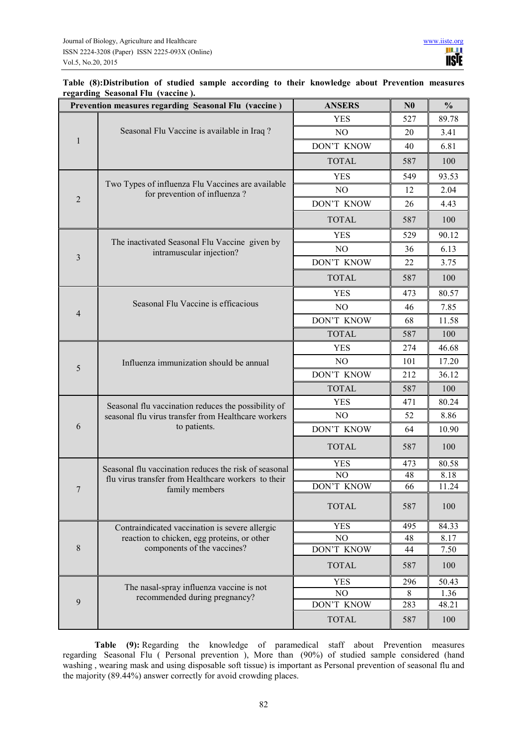# **Table (8):Distribution of studied sample according to their knowledge about Prevention measures regarding Seasonal Flu (vaccine ).**

| Prevention measures regarding Seasonal Flu (vaccine) |                                                                                   | <b>ANSERS</b>  | N <sub>0</sub> | $\frac{0}{0}$ |
|------------------------------------------------------|-----------------------------------------------------------------------------------|----------------|----------------|---------------|
|                                                      |                                                                                   | <b>YES</b>     | 527            | 89.78         |
| 1                                                    | Seasonal Flu Vaccine is available in Iraq?                                        | N <sub>O</sub> | 20             | 3.41          |
|                                                      |                                                                                   | DON'T KNOW     | 40             | 6.81          |
|                                                      |                                                                                   | <b>TOTAL</b>   | 587            | 100           |
|                                                      |                                                                                   | <b>YES</b>     | 549            | 93.53         |
|                                                      | Two Types of influenza Flu Vaccines are available<br>for prevention of influenza? | NO             | 12             | 2.04          |
| $\overline{2}$                                       |                                                                                   | DON'T KNOW     | 26             | 4.43          |
|                                                      |                                                                                   | <b>TOTAL</b>   | 587            | 100           |
|                                                      |                                                                                   | <b>YES</b>     | 529            | 90.12         |
|                                                      | The inactivated Seasonal Flu Vaccine given by<br>intramuscular injection?         | N <sub>O</sub> | 36             | 6.13          |
| $\overline{\mathbf{3}}$                              |                                                                                   | DON'T KNOW     | 22             | 3.75          |
|                                                      |                                                                                   | <b>TOTAL</b>   | 587            | 100           |
|                                                      |                                                                                   | <b>YES</b>     | 473            | 80.57         |
|                                                      | Seasonal Flu Vaccine is efficacious                                               | NO             | 46             | 7.85          |
| $\overline{4}$                                       |                                                                                   | DON'T KNOW     | 68             | 11.58         |
|                                                      |                                                                                   | <b>TOTAL</b>   | 587            | 100           |
|                                                      |                                                                                   | <b>YES</b>     | 274            | 46.68         |
| 5                                                    | Influenza immunization should be annual                                           | N <sub>O</sub> | 101            | 17.20         |
|                                                      |                                                                                   | DON'T KNOW     | 212            | 36.12         |
|                                                      |                                                                                   | <b>TOTAL</b>   | 587            | 100           |
|                                                      | Seasonal flu vaccination reduces the possibility of                               | YES            | 471            | 80.24         |
|                                                      | seasonal flu virus transfer from Healthcare workers                               | N <sub>O</sub> | 52             | 8.86          |
| 6                                                    | to patients.                                                                      | DON'T KNOW     | 64             | 10.90         |
|                                                      |                                                                                   | <b>TOTAL</b>   | 587            | 100           |
|                                                      | Seasonal flu vaccination reduces the risk of seasonal                             | <b>YES</b>     | 473            | 80.58         |
|                                                      | flu virus transfer from Healthcare workers to their                               | NO             | 48             | 8.18          |
| $\overline{7}$                                       | family members                                                                    | DON'T KNOW     | 66             | 11.24         |
|                                                      |                                                                                   | <b>TOTAL</b>   | 587            | 100           |
|                                                      | Contraindicated vaccination is severe allergic                                    | YES            | 495            | 84.33         |
|                                                      | reaction to chicken, egg proteins, or other                                       | NO             | 48             | 8.17          |
| 8                                                    | components of the vaccines?                                                       | DON'T KNOW     | 44             | 7.50          |
|                                                      |                                                                                   | <b>TOTAL</b>   | 587            | 100           |
|                                                      | The nasal-spray influenza vaccine is not                                          | <b>YES</b>     | 296            | 50.43         |
| 9                                                    | recommended during pregnancy?                                                     | NO             | 8              | 1.36          |
|                                                      |                                                                                   | DON'T KNOW     | 283            | 48.21         |
|                                                      |                                                                                   | <b>TOTAL</b>   | 587            | 100           |

**Table (9):** Regarding the knowledge of paramedical staff about Prevention measures regarding Seasonal Flu ( Personal prevention ), More than (90%) of studied sample considered (hand washing , wearing mask and using disposable soft tissue) is important as Personal prevention of seasonal flu and the majority (89.44%) answer correctly for avoid crowding places.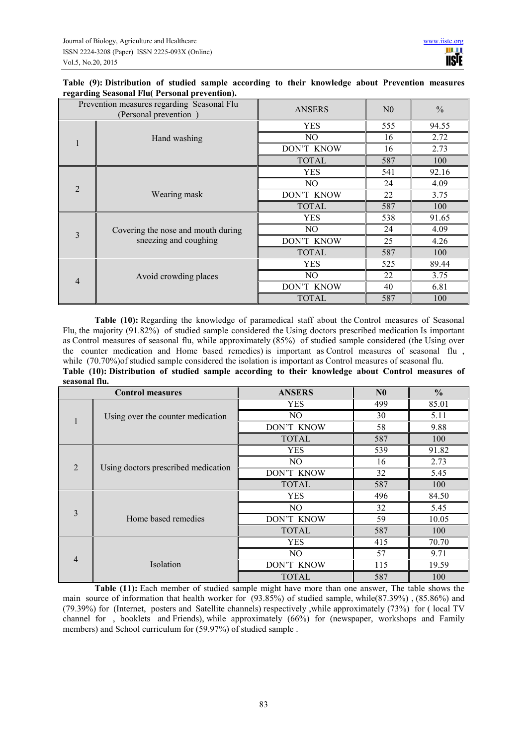| Table (9): Distribution of studied sample according to their knowledge about Prevention measures |  |  |  |  |  |
|--------------------------------------------------------------------------------------------------|--|--|--|--|--|
| regarding Seasonal Flu( Personal prevention).                                                    |  |  |  |  |  |

| Prevention measures regarding Seasonal Flu<br>(Personal prevention) |                                    | <b>ANSERS</b> | N <sub>0</sub> | $\frac{0}{0}$ |
|---------------------------------------------------------------------|------------------------------------|---------------|----------------|---------------|
|                                                                     |                                    | <b>YES</b>    | 555            | 94.55         |
|                                                                     | Hand washing                       | NO.           | 16             | 2.72          |
|                                                                     |                                    | DON'T KNOW    | 16             | 2.73          |
|                                                                     |                                    | <b>TOTAL</b>  | 587            | 100           |
|                                                                     |                                    | YES           | 541            | 92.16         |
| $\overline{2}$                                                      |                                    | NO.           | 24             | 4.09          |
|                                                                     | Wearing mask                       | DON'T KNOW    | 22             | 3.75          |
|                                                                     |                                    | <b>TOTAL</b>  | 587            | 100           |
|                                                                     |                                    | <b>YES</b>    | 538            | 91.65         |
| $\overline{3}$                                                      | Covering the nose and mouth during | NO.           | 24             | 4.09          |
|                                                                     | sneezing and coughing              | DON'T KNOW    | 25             | 4.26          |
|                                                                     |                                    | <b>TOTAL</b>  | 587            | 100           |
|                                                                     |                                    | <b>YES</b>    | 525            | 89.44         |
| $\overline{4}$                                                      | Avoid crowding places              | NO.           | 22             | 3.75          |
|                                                                     |                                    | DON'T KNOW    | 40             | 6.81          |
|                                                                     |                                    | <b>TOTAL</b>  | 587            | 100           |

**Table (10):** Regarding the knowledge of paramedical staff about the Control measures of Seasonal Flu, the majority (91.82%) of studied sample considered the Using doctors prescribed medication Is important as Control measures of seasonal flu, while approximately (85%) of studied sample considered (the Using over the counter medication and Home based remedies) is important as Control measures of seasonal flu , while (70.70%)of studied sample considered the isolation is important as Control measures of seasonal flu. **Table (10): Distribution of studied sample according to their knowledge about Control measures of seasonal flu.** 

| <b>Control measures</b> |                                     | <b>ANSERS</b> | N <sub>0</sub> | $\frac{0}{0}$ |
|-------------------------|-------------------------------------|---------------|----------------|---------------|
|                         |                                     | <b>YES</b>    | 499            | 85.01         |
|                         | Using over the counter medication   | NO.           | 30             | 5.11          |
|                         |                                     | DON'T KNOW    | 58             | 9.88          |
|                         |                                     | <b>TOTAL</b>  | 587            | 100           |
|                         |                                     | <b>YES</b>    | 539            | 91.82         |
|                         |                                     | NO.           | 16             | 2.73          |
| $\overline{2}$          | Using doctors prescribed medication | DON'T KNOW    | 32             | 5.45          |
|                         |                                     | <b>TOTAL</b>  | 587            | 100           |
|                         |                                     | <b>YES</b>    | 496            | 84.50         |
|                         |                                     | NO.           | 32             | 5.45          |
| 3                       | Home based remedies                 | DON'T KNOW    | 59             | 10.05         |
|                         |                                     | <b>TOTAL</b>  | 587            | 100           |
|                         |                                     | <b>YES</b>    | 415            | 70.70         |
|                         |                                     | NO.           | 57             | 9.71          |
| $\overline{4}$          | Isolation                           | DON'T KNOW    | 115            | 19.59         |
|                         |                                     | <b>TOTAL</b>  | 587            | 100           |

**Table (11):** Each member of studied sample might have more than one answer, The table shows the main source of information that health worker for (93.85%) of studied sample, while(87.39%) , (85.86%) and (79.39%) for (Internet, posters and Satellite channels) respectively ,while approximately (73%) for ( local TV channel for , booklets and Friends), while approximately (66%) for (newspaper, workshops and Family members) and School curriculum for (59.97%) of studied sample .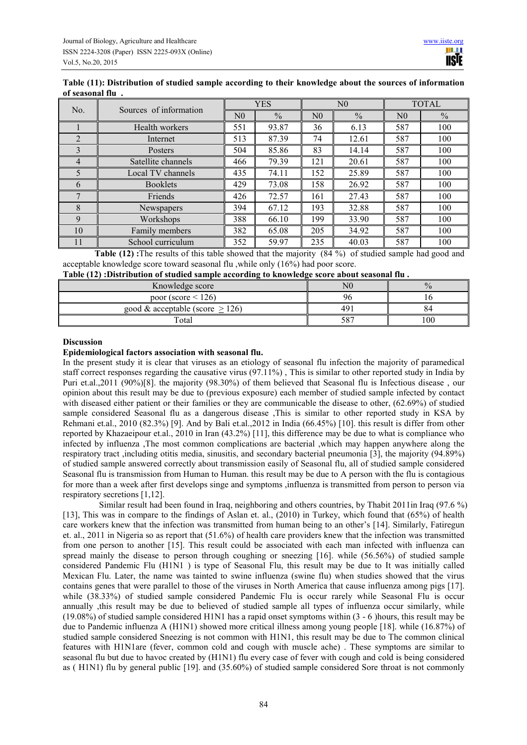| Table (11): Distribution of studied sample according to their knowledge about the sources of information |  |
|----------------------------------------------------------------------------------------------------------|--|
| of seasonal flu.                                                                                         |  |

|                | Sources of information |                | <b>YES</b>    | N <sub>0</sub> |               | <b>TOTAL</b>   |               |
|----------------|------------------------|----------------|---------------|----------------|---------------|----------------|---------------|
| No.            |                        | N <sub>0</sub> | $\frac{0}{0}$ | N <sub>0</sub> | $\frac{0}{0}$ | N <sub>0</sub> | $\frac{0}{0}$ |
|                | Health workers         | 551            | 93.87         | 36             | 6.13          | 587            | 100           |
| $\mathfrak{D}$ | Internet               | 513            | 87.39         | 74             | 12.61         | 587            | 100           |
| 3              | Posters                | 504            | 85.86         | 83             | 14.14         | 587            | 100           |
| $\overline{4}$ | Satellite channels     | 466            | 79.39         | 121            | 20.61         | 587            | 100           |
| 5              | Local TV channels      | 435            | 74.11         | 152            | 25.89         | 587            | 100           |
| 6              | <b>Booklets</b>        | 429            | 73.08         | 158            | 26.92         | 587            | 100           |
|                | Friends                | 426            | 72.57         | 161            | 27.43         | 587            | 100           |
| 8              | Newspapers             | 394            | 67.12         | 193            | 32.88         | 587            | 100           |
| 9              | Workshops              | 388            | 66.10         | 199            | 33.90         | 587            | 100           |
| 10             | Family members         | 382            | 65.08         | 205            | 34.92         | 587            | 100           |
| 11             | School curriculum      | 352            | 59.97         | 235            | 40.03         | 587            | 100           |

**Table (12):** The results of this table showed that the majority (84 %) of studied sample had good and acceptable knowledge score toward seasonal flu ,while only (16%) had poor score.

|  | Table (12) : Distribution of studied sample according to knowledge score about seasonal flu. |  |  |  |
|--|----------------------------------------------------------------------------------------------|--|--|--|
|  |                                                                                              |  |  |  |

| Knowledge score                    | $_{\rm N0}$ |     |
|------------------------------------|-------------|-----|
| poor (score $\leq$ 126)            | Υf          |     |
| good & acceptable (score $> 126$ ) | -49.        | 64  |
| Total                              | 587         | 100 |

### **Discussion**

#### **Epidemiological factors association with seasonal flu.**

In the present study it is clear that viruses as an etiology of seasonal flu infection the majority of paramedical staff correct responses regarding the causative virus (97.11%) , This is similar to other reported study in India by Puri et.al.,2011 (90%)[8]. the majority (98.30%) of them believed that Seasonal flu is Infectious disease , our opinion about this result may be due to (previous exposure) each member of studied sample infected by contact with diseased either patient or their families or they are communicable the disease to other, (62.69%) of studied sample considered Seasonal flu as a dangerous disease ,This is similar to other reported study in KSA by Rehmani et.al., 2010 (82.3%) [9]. And by Bali et.al.,2012 in India (66.45%) [10]. this result is differ from other reported by Khazaeipour et.al., 2010 in Iran (43.2%) [11], this difference may be due to what is compliance who infected by influenza ,The most common complications are bacterial ,which may happen anywhere along the respiratory tract ,including otitis media, sinusitis, and secondary bacterial pneumonia [3], the majority (94.89%) of studied sample answered correctly about transmission easily of Seasonal flu, all of studied sample considered Seasonal flu is transmission from Human to Human. this result may be due to A person with the flu is contagious for more than a week after first develops singe and symptoms ,influenza is transmitted from person to person via respiratory secretions [1,12].

 Similar result had been found in Iraq, neighboring and others countries, by Thabit 2011in Iraq (97.6 %) [13], This was in compare to the findings of Aslan et. al., (2010) in Turkey, which found that (65%) of health care workers knew that the infection was transmitted from human being to an other's [14]. Similarly, Fatiregun et. al., 2011 in Nigeria so as report that (51.6%) of health care providers knew that the infection was transmitted from one person to another [15]. This result could be associated with each man infected with influenza can spread mainly the disease to person through coughing or sneezing [16]. while (56.56%) of studied sample considered Pandemic Flu (H1N1 ) is type of Seasonal Flu, this result may be due to It was initially called Mexican Flu. Later, the name was tainted to swine influenza (swine flu) when studies showed that the virus contains genes that were parallel to those of the viruses in North America that cause influenza among pigs [17]. while (38.33%) of studied sample considered Pandemic Flu is occur rarely while Seasonal Flu is occur annually ,this result may be due to believed of studied sample all types of influenza occur similarly, while (19.08%) of studied sample considered H1N1 has a rapid onset symptoms within (3 - 6 )hours, this result may be due to Pandemic influenza A (H1N1) showed more critical illness among young people [18]. while (16.87%) of studied sample considered Sneezing is not common with H1N1, this result may be due to The common clinical features with H1N1are (fever, common cold and cough with muscle ache) . These symptoms are similar to seasonal flu but due to havoc created by (H1N1) flu every case of fever with cough and cold is being considered as ( H1N1) flu by general public [19]. and (35.60%) of studied sample considered Sore throat is not commonly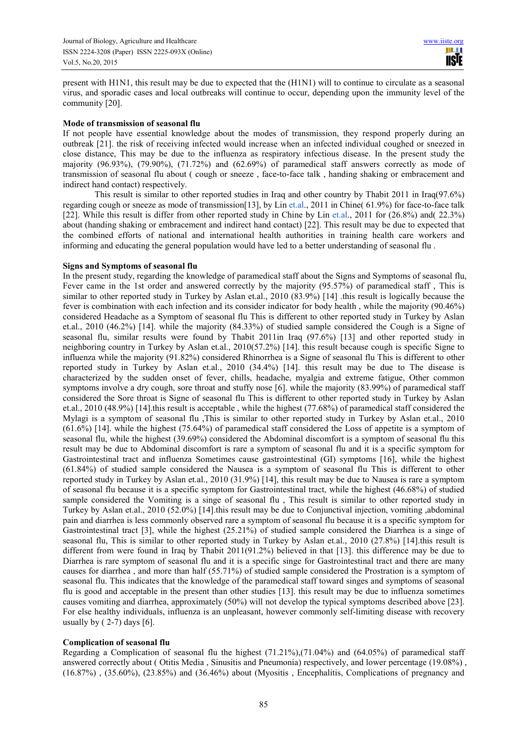present with H1N1, this result may be due to expected that the (H1N1) will to continue to circulate as a seasonal virus, and sporadic cases and local outbreaks will continue to occur, depending upon the immunity level of the community [20].

### **Mode of transmission of seasonal flu**

If not people have essential knowledge about the modes of transmission, they respond properly during an outbreak [21]. the risk of receiving infected would increase when an infected individual coughed or sneezed in close distance, This may be due to the influenza as respiratory infectious disease. In the present study the majority  $(96.93\%)$ ,  $(79.90\%)$ ,  $(71.72\%)$  and  $(62.69\%)$  of paramedical staff answers correctly as mode of transmission of seasonal flu about ( cough or sneeze , face-to-face talk , handing shaking or embracement and indirect hand contact) respectively.

This result is similar to other reported studies in Iraq and other country by Thabit 2011 in Iraq(97.6%) regarding cough or sneeze as mode of transmission[13], by Lin et.al., 2011 in Chine( 61.9%) for face-to-face talk [22]. While this result is differ from other reported study in Chine by Lin et.al., 2011 for (26.8%) and( 22.3%) about (handing shaking or embracement and indirect hand contact) [22]. This result may be due to expected that the combined efforts of national and international health authorities in training health care workers and informing and educating the general population would have led to a better understanding of seasonal flu .

### **Signs and Symptoms of seasonal flu**

In the present study, regarding the knowledge of paramedical staff about the Signs and Symptoms of seasonal flu, Fever came in the 1st order and answered correctly by the majority (95.57%) of paramedical staff, This is similar to other reported study in Turkey by Aslan et.al., 2010 (83.9%) [14] .this result is logically because the fever is combination with each infection and its consider indicator for body health , while the majority (90.46%) considered Headache as a Symptom of seasonal flu This is different to other reported study in Turkey by Aslan et.al., 2010 (46.2%) [14]. while the majority (84.33%) of studied sample considered the Cough is a Signe of seasonal flu, similar results were found by Thabit 2011in Iraq (97.6%) [13] and other reported study in neighboring country in Turkey by Aslan et.al., 2010(57.2%) [14]. this result because cough is specific Signe to influenza while the majority (91.82%) considered Rhinorrhea is a Signe of seasonal flu This is different to other reported study in Turkey by Aslan et.al., 2010 (34.4%) [14]. this result may be due to The disease is characterized by the sudden onset of fever, chills, headache, myalgia and extreme fatigue, Other common symptoms involve a dry cough, sore throat and stuffy nose [6]. while the majority (83.99%) of paramedical staff considered the Sore throat is Signe of seasonal flu This is different to other reported study in Turkey by Aslan et.al., 2010 (48.9%) [14].this result is acceptable , while the highest (77.68%) of paramedical staff considered the Mylagi is a symptom of seasonal flu ,This is similar to other reported study in Turkey by Aslan et.al., 2010 (61.6%) [14]. while the highest (75.64%) of paramedical staff considered the Loss of appetite is a symptom of seasonal flu, while the highest (39.69%) considered the Abdominal discomfort is a symptom of seasonal flu this result may be due to Abdominal discomfort is rare a symptom of seasonal flu and it is a specific symptom for Gastrointestinal tract and influenza Sometimes cause gastrointestinal (GI) symptoms [16], while the highest (61.84%) of studied sample considered the Nausea is a symptom of seasonal flu This is different to other reported study in Turkey by Aslan et.al., 2010 (31.9%) [14], this result may be due to Nausea is rare a symptom of seasonal flu because it is a specific symptom for Gastrointestinal tract, while the highest (46.68%) of studied sample considered the Vomiting is a singe of seasonal flu , This result is similar to other reported study in Turkey by Aslan et.al., 2010 (52.0%) [14].this result may be due to Conjunctival injection, vomiting ,abdominal pain and diarrhea is less commonly observed rare a symptom of seasonal flu because it is a specific symptom for Gastrointestinal tract [3], while the highest (25.21%) of studied sample considered the Diarrhea is a singe of seasonal flu, This is similar to other reported study in Turkey by Aslan et.al., 2010 (27.8%) [14].this result is different from were found in Iraq by Thabit 2011(91.2%) believed in that [13]. this difference may be due to Diarrhea is rare symptom of seasonal flu and it is a specific singe for Gastrointestinal tract and there are many causes for diarrhea , and more than half (55.71%) of studied sample considered the Prostration is a symptom of seasonal flu. This indicates that the knowledge of the paramedical staff toward singes and symptoms of seasonal flu is good and acceptable in the present than other studies [13]. this result may be due to influenza sometimes causes vomiting and diarrhea, approximately (50%) will not develop the typical symptoms described above [23]. For else healthy individuals, influenza is an unpleasant, however commonly self-limiting disease with recovery usually by  $(2-7)$  days [6].

# **Complication of seasonal flu**

Regarding a Complication of seasonal flu the highest  $(71.21\%)$ , $(71.04\%)$  and  $(64.05\%)$  of paramedical staff answered correctly about ( Otitis Media , Sinusitis and Pneumonia) respectively, and lower percentage (19.08%) , (16.87%) , (35.60%), (23.85%) and (36.46%) about (Myositis , Encephalitis, Complications of pregnancy and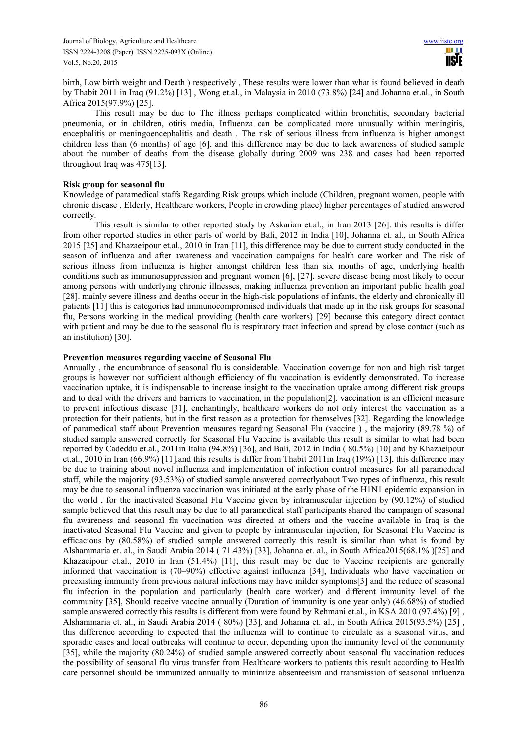birth, Low birth weight and Death ) respectively , These results were lower than what is found believed in death by Thabit 2011 in Iraq (91.2%) [13] , Wong et.al., in Malaysia in 2010 (73.8%) [24] and Johanna et.al., in South Africa 2015(97.9%) [25].

This result may be due to The illness perhaps complicated within bronchitis, secondary bacterial pneumonia, or in children, otitis media, Influenza can be complicated more unusually within meningitis, encephalitis or meningoencephalitis and death . The risk of serious illness from influenza is higher amongst children less than (6 months) of age [6]. and this difference may be due to lack awareness of studied sample about the number of deaths from the disease globally during 2009 was 238 and cases had been reported throughout Iraq was 475[13].

## **Risk group for seasonal flu**

Knowledge of paramedical staffs Regarding Risk groups which include (Children, pregnant women, people with chronic disease , Elderly, Healthcare workers, People in crowding place) higher percentages of studied answered correctly.

This result is similar to other reported study by Askarian et.al., in Iran 2013 [26]. this results is differ from other reported studies in other parts of world by Bali, 2012 in India [10], Johanna et. al., in South Africa 2015 [25] and Khazaeipour et.al., 2010 in Iran [11], this difference may be due to current study conducted in the season of influenza and after awareness and vaccination campaigns for health care worker and The risk of serious illness from influenza is higher amongst children less than six months of age, underlying health conditions such as immunosuppression and pregnant women [6], [27]. severe disease being most likely to occur among persons with underlying chronic illnesses, making influenza prevention an important public health goal [28]. mainly severe illness and deaths occur in the high-risk populations of infants, the elderly and chronically ill patients [11] this is categories had immunocompromised individuals that made up in the risk groups for seasonal flu, Persons working in the medical providing (health care workers) [29] because this category direct contact with patient and may be due to the seasonal flu is respiratory tract infection and spread by close contact (such as an institution) [30].

### **Prevention measures regarding vaccine of Seasonal Flu**

Annually , the encumbrance of seasonal flu is considerable. Vaccination coverage for non and high risk target groups is however not sufficient although efficiency of flu vaccination is evidently demonstrated. To increase vaccination uptake, it is indispensable to increase insight to the vaccination uptake among different risk groups and to deal with the drivers and barriers to vaccination, in the population[2]. vaccination is an efficient measure to prevent infectious disease [31], enchantingly, healthcare workers do not only interest the vaccination as a protection for their patients, but in the first reason as a protection for themselves [32]. Regarding the knowledge of paramedical staff about Prevention measures regarding Seasonal Flu (vaccine ) , the majority (89.78 %) of studied sample answered correctly for Seasonal Flu Vaccine is available this result is similar to what had been reported by Cadeddu et.al., 2011in Italia (94.8%) [36], and Bali, 2012 in India ( 80.5%) [10] and by Khazaeipour et.al., 2010 in Iran (66.9%) [11].and this results is differ from Thabit 2011in Iraq (19%) [13], this difference may be due to training about novel influenza and implementation of infection control measures for all paramedical staff, while the majority (93.53%) of studied sample answered correctlyabout Two types of influenza, this result may be due to seasonal influenza vaccination was initiated at the early phase of the H1N1 epidemic expansion in the world , for the inactivated Seasonal Flu Vaccine given by intramuscular injection by (90.12%) of studied sample believed that this result may be due to all paramedical staff participants shared the campaign of seasonal flu awareness and seasonal flu vaccination was directed at others and the vaccine available in Iraq is the inactivated Seasonal Flu Vaccine and given to people by intramuscular injection, for Seasonal Flu Vaccine is efficacious by (80.58%) of studied sample answered correctly this result is similar than what is found by Alshammaria et. al., in Saudi Arabia 2014 ( 71.43%) [33], Johanna et. al., in South Africa2015(68.1% )[25] and Khazaeipour et.al., 2010 in Iran (51.4%) [11], this result may be due to Vaccine recipients are generally informed that vaccination is (70–90%) effective against influenza [34], Individuals who have vaccination or preexisting immunity from previous natural infections may have milder symptoms[3] and the reduce of seasonal flu infection in the population and particularly (health care worker) and different immunity level of the community [35], Should receive vaccine annually (Duration of immunity is one year only) (46.68%) of studied sample answered correctly this results is different from were found by Rehmani et.al., in KSA 2010 (97.4%) [9] , Alshammaria et. al., in Saudi Arabia 2014 ( 80%) [33], and Johanna et. al., in South Africa 2015(93.5%) [25] , this difference according to expected that the influenza will to continue to circulate as a seasonal virus, and sporadic cases and local outbreaks will continue to occur, depending upon the immunity level of the community [35], while the majority (80.24%) of studied sample answered correctly about seasonal flu vaccination reduces the possibility of seasonal flu virus transfer from Healthcare workers to patients this result according to Health care personnel should be immunized annually to minimize absenteeism and transmission of seasonal influenza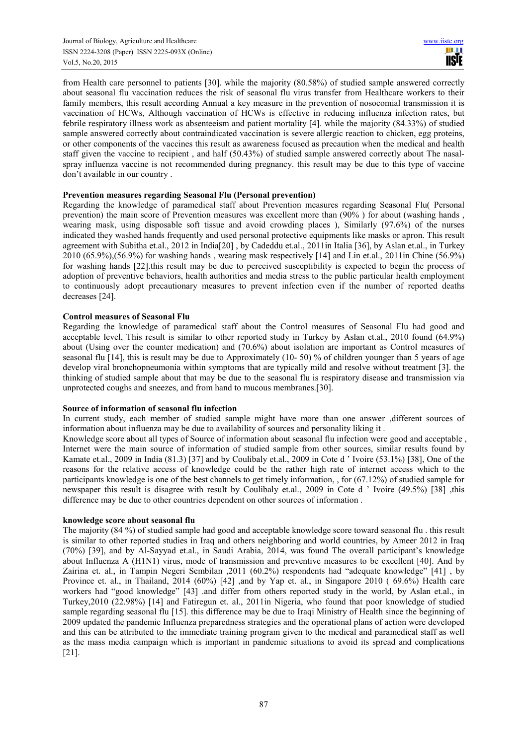from Health care personnel to patients [30]. while the majority (80.58%) of studied sample answered correctly about seasonal flu vaccination reduces the risk of seasonal flu virus transfer from Healthcare workers to their family members, this result according Annual a key measure in the prevention of nosocomial transmission it is vaccination of HCWs, Although vaccination of HCWs is effective in reducing influenza infection rates, but febrile respiratory illness work as absenteeism and patient mortality [4]. while the majority (84.33%) of studied sample answered correctly about contraindicated vaccination is severe allergic reaction to chicken, egg proteins, or other components of the vaccines this result as awareness focused as precaution when the medical and health staff given the vaccine to recipient , and half (50.43%) of studied sample answered correctly about The nasalspray influenza vaccine is not recommended during pregnancy. this result may be due to this type of vaccine don't available in our country .

# **Prevention measures regarding Seasonal Flu (Personal prevention)**

Regarding the knowledge of paramedical staff about Prevention measures regarding Seasonal Flu( Personal prevention) the main score of Prevention measures was excellent more than (90% ) for about (washing hands , wearing mask, using disposable soft tissue and avoid crowding places ), Similarly (97.6%) of the nurses indicated they washed hands frequently and used personal protective equipments like masks or apron. This result agreement with Subitha et.al., 2012 in India[20] , by Cadeddu et.al., 2011in Italia [36], by Aslan et.al., in Turkey 2010 (65.9%),(56.9%) for washing hands , wearing mask respectively [14] and Lin et.al., 2011in Chine (56.9%) for washing hands [22].this result may be due to perceived susceptibility is expected to begin the process of adoption of preventive behaviors, health authorities and media stress to the public particular health employment to continuously adopt precautionary measures to prevent infection even if the number of reported deaths decreases [24].

### **Control measures of Seasonal Flu**

Regarding the knowledge of paramedical staff about the Control measures of Seasonal Flu had good and acceptable level, This result is similar to other reported study in Turkey by Aslan et.al., 2010 found (64.9%) about (Using over the counter medication) and (70.6%) about isolation are important as Control measures of seasonal flu [14], this is result may be due to Approximately (10- 50) % of children younger than 5 years of age develop viral bronchopneumonia within symptoms that are typically mild and resolve without treatment [3]. the thinking of studied sample about that may be due to the seasonal flu is respiratory disease and transmission via unprotected coughs and sneezes, and from hand to mucous membranes.[30].

#### **Source of information of seasonal flu infection**

In current study, each member of studied sample might have more than one answer ,different sources of information about influenza may be due to availability of sources and personality liking it .

Knowledge score about all types of Source of information about seasonal flu infection were good and acceptable , Internet were the main source of information of studied sample from other sources, similar results found by Kamate et.al., 2009 in India (81.3) [37] and by Coulibaly et.al., 2009 in Cote d ' Ivoire (53.1%) [38], One of the reasons for the relative access of knowledge could be the rather high rate of internet access which to the participants knowledge is one of the best channels to get timely information, , for (67.12%) of studied sample for newspaper this result is disagree with result by Coulibaly et.al., 2009 in Cote d ' Ivoire (49.5%) [38] ,this difference may be due to other countries dependent on other sources of information .

#### **knowledge score about seasonal flu**

The majority (84 %) of studied sample had good and acceptable knowledge score toward seasonal flu . this result is similar to other reported studies in Iraq and others neighboring and world countries, by Ameer 2012 in Iraq (70%) [39], and by Al-Sayyad et.al., in Saudi Arabia, 2014, was found The overall participant's knowledge about Influenza A (H1N1) virus, mode of transmission and preventive measures to be excellent [40]. And by Zairina et. al., in Tampin Negeri Sembilan ,2011 (60.2%) respondents had "adequate knowledge" [41] , by Province et. al., in Thailand, 2014 (60%) [42] ,and by Yap et. al., in Singapore 2010 ( 69.6%) Health care workers had "good knowledge" [43] .and differ from others reported study in the world, by Aslan et.al., in Turkey,2010 (22.98%) [14] and Fatiregun et. al., 2011in Nigeria, who found that poor knowledge of studied sample regarding seasonal flu [15]. this difference may be due to Iraqi Ministry of Health since the beginning of 2009 updated the pandemic Influenza preparedness strategies and the operational plans of action were developed and this can be attributed to the immediate training program given to the medical and paramedical staff as well as the mass media campaign which is important in pandemic situations to avoid its spread and complications [21].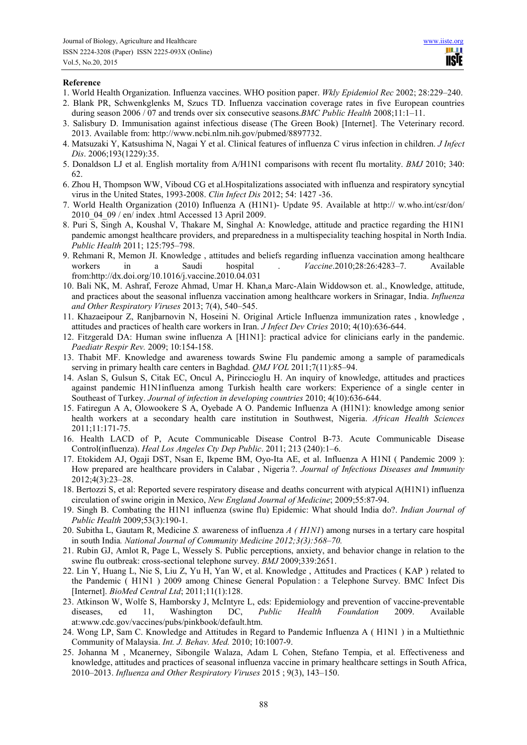### **Reference**

- 1. World Health Organization. Influenza vaccines. WHO position paper. *Wkly Epidemiol Rec* 2002; 28:229–240.
- 2. Blank PR, Schwenkglenks M, Szucs TD. Influenza vaccination coverage rates in five European countries during season 2006 / 07 and trends over six consecutive seasons.*BMC Public Health* 2008;11:1–11.
- 3. Salisbury D. Immunisation against infectious disease (The Green Book) [Internet]. The Veterinary record. 2013. Available from: http://www.ncbi.nlm.nih.gov/pubmed/8897732.
- 4. Matsuzaki Y, Katsushima N, Nagai Y et al. Clinical features of influenza C virus infection in children. *J Infect Dis*. 2006;193(1229):35.
- 5. Donaldson LJ et al. English mortality from A/H1N1 comparisons with recent flu mortality. *BMJ* 2010; 340: 62.
- 6. Zhou H, Thompson WW, Viboud CG et al.Hospitalizations associated with influenza and respiratory syncytial virus in the United States, 1993-2008. *Clin Infect Dis* 2012; 54: 1427 -36.
- 7. World Health Organization (2010) Influenza A (H1N1)- Update 95. Available at http:// w.who.int/csr/don/ 2010\_04\_09 / en/ index .html Accessed 13 April 2009.
- 8. Puri S, Singh A, Koushal V, Thakare M, Singhal A: Knowledge, attitude and practice regarding the H1N1 pandemic amongst healthcare providers, and preparedness in a multispeciality teaching hospital in North India. *Public Health* 2011; 125:795–798.
- 9. Rehmani R, Memon JI. Knowledge , attitudes and beliefs regarding influenza vaccination among healthcare workers in a Saudi hospital . *Vaccine*.2010;28:26:4283–7. Available from:http://dx.doi.org/10.1016/j.vaccine.2010.04.031
- 10. Bali NK, M. Ashraf, Feroze Ahmad, Umar H. Khan,a Marc-Alain Widdowson et. al., Knowledge, attitude, and practices about the seasonal influenza vaccination among healthcare workers in Srinagar, India. *Influenza and Other Respiratory Viruses* 2013; 7(4), 540–545.
- 11. Khazaeipour Z, Ranjbarnovin N, Hoseini N. Original Article Influenza immunization rates , knowledge , attitudes and practices of health care workers in Iran. *J Infect Dev Ctries* 2010; 4(10):636-644.
- 12. Fitzgerald DA: Human swine influenza A [H1N1]: practical advice for clinicians early in the pandemic. *Paediatr Respir Rev.* 2009; 10:154-158.
- 13. Thabit MF. Knowledge and awareness towards Swine Flu pandemic among a sample of paramedicals serving in primary health care centers in Baghdad. *QMJ VOL* 2011;7(11):85–94.
- 14. Aslan S, Gulsun S, Citak EC, Oncul A, Pirinccioglu H. An inquiry of knowledge, attitudes and practices against pandemic H1N1influenza among Turkish health care workers: Experience of a single center in Southeast of Turkey. *Journal of infection in developing countries* 2010; 4(10):636-644.
- 15. Fatiregun A A, Olowookere S A, Oyebade A O. Pandemic Influenza A (H1N1): knowledge among senior health workers at a secondary health care institution in Southwest, Nigeria. *African Health Sciences* 2011;11:171-75.
- 16. Health LACD of P, Acute Communicable Disease Control B-73. Acute Communicable Disease Control(influenza). *Heal Los Angeles Cty Dep Public*. 2011; 213 (240):1–6.
- 17. Etokidem AJ, Ogaji DST, Nsan E, Ikpeme BM, Oyo-Ita AE, et al. Influenza A H1NI ( Pandemic 2009 ): How prepared are healthcare providers in Calabar , Nigeria ?. *Journal of Infectious Diseases and Immunity* 2012;4(3):23–28.
- 18. Bertozzi S, et al: Reported severe respiratory disease and deaths concurrent with atypical A(H1N1) influenza circulation of swine origin in Mexico, *New England Journal of Medicine*; 2009;55:87-94.
- 19. Singh B. Combating the H1N1 influenza (swine flu) Epidemic: What should India do?. *Indian Journal of Public Health* 2009;53(3):190-1.
- 20. Subitha L, Gautam R, Medicine *S.* awareness of influenza *A ( H1N1*) among nurses in a tertary care hospital in south India*. National Journal of Community Medicine 2012;3(3):568–70.*
- 21. Rubin GJ, Amlot R, Page L, Wessely S. Public perceptions, anxiety, and behavior change in relation to the swine flu outbreak: cross-sectional telephone survey. *BMJ* 2009;339:2651.
- 22. Lin Y, Huang L, Nie S, Liu Z, Yu H, Yan W, et al. Knowledge , Attitudes and Practices ( KAP ) related to the Pandemic ( H1N1 ) 2009 among Chinese General Population : a Telephone Survey. BMC Infect Dis [Internet]. *BioMed Central Ltd*; 2011;11(1):128.
- 23. Atkinson W, Wolfe S, Hamborsky J, McIntyre L, eds: Epidemiology and prevention of vaccine-preventable diseases, ed 11, Washington DC, *Public Health Foundation* 2009. Available at:www.cdc.gov/vaccines/pubs/pinkbook/default.htm.
- 24. Wong LP, Sam C. Knowledge and Attitudes in Regard to Pandemic Influenza A ( H1N1 ) in a Multiethnic Community of Malaysia. *Int. J. Behav. Med.* 2010; 10:1007-9.
- 25. Johanna M , Mcanerney, Sibongile Walaza, Adam L Cohen, Stefano Tempia, et al. Effectiveness and knowledge, attitudes and practices of seasonal influenza vaccine in primary healthcare settings in South Africa, 2010–2013. *Influenza and Other Respiratory Viruses* 2015 ; 9(3), 143–150.